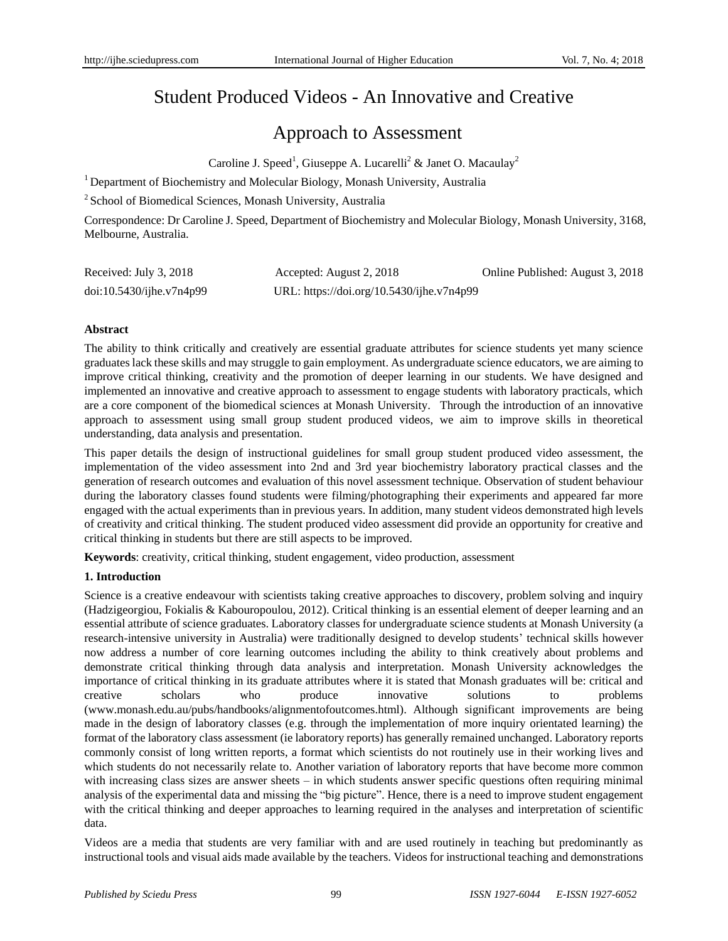# Student Produced Videos - An Innovative and Creative

## Approach to Assessment

Caroline J. Speed<sup>1</sup>, Giuseppe A. Lucarelli<sup>2</sup> & Janet O. Macaulay<sup>2</sup>

<sup>1</sup> Department of Biochemistry and Molecular Biology, Monash University, Australia

<sup>2</sup> School of Biomedical Sciences, Monash University, Australia

Correspondence: Dr Caroline J. Speed, Department of Biochemistry and Molecular Biology, Monash University, 3168, Melbourne, Australia.

| Received: July 3, 2018   | Accepted: August 2, 2018                  | Online Published: August 3, 2018 |
|--------------------------|-------------------------------------------|----------------------------------|
| doi:10.5430/ijhe.v7n4p99 | URL: https://doi.org/10.5430/ijhe.v7n4p99 |                                  |

## **Abstract**

The ability to think critically and creatively are essential graduate attributes for science students yet many science graduates lack these skills and may struggle to gain employment. As undergraduate science educators, we are aiming to improve critical thinking, creativity and the promotion of deeper learning in our students. We have designed and implemented an innovative and creative approach to assessment to engage students with laboratory practicals, which are a core component of the biomedical sciences at Monash University. Through the introduction of an innovative approach to assessment using small group student produced videos, we aim to improve skills in theoretical understanding, data analysis and presentation.

This paper details the design of instructional guidelines for small group student produced video assessment, the implementation of the video assessment into 2nd and 3rd year biochemistry laboratory practical classes and the generation of research outcomes and evaluation of this novel assessment technique. Observation of student behaviour during the laboratory classes found students were filming/photographing their experiments and appeared far more engaged with the actual experiments than in previous years. In addition, many student videos demonstrated high levels of creativity and critical thinking. The student produced video assessment did provide an opportunity for creative and critical thinking in students but there are still aspects to be improved.

**Keywords**: creativity, critical thinking, student engagement, video production, assessment

## **1. Introduction**

Science is a creative endeavour with scientists taking creative approaches to discovery, problem solving and inquiry (Hadzigeorgiou, Fokialis & Kabouropoulou, 2012). Critical thinking is an essential element of deeper learning and an essential attribute of science graduates. Laboratory classes for undergraduate science students at Monash University (a research-intensive university in Australia) were traditionally designed to develop students' technical skills however now address a number of core learning outcomes including the ability to think creatively about problems and demonstrate critical thinking through data analysis and interpretation. Monash University acknowledges the importance of critical thinking in its graduate attributes where it is stated that Monash graduates will be: critical and creative scholars who produce innovative solutions to problems (www.monash.edu.au/pubs/handbooks/alignmentofoutcomes.html). Although significant improvements are being made in the design of laboratory classes (e.g. through the implementation of more inquiry orientated learning) the format of the laboratory class assessment (ie laboratory reports) has generally remained unchanged. Laboratory reports commonly consist of long written reports, a format which scientists do not routinely use in their working lives and which students do not necessarily relate to. Another variation of laboratory reports that have become more common with increasing class sizes are answer sheets – in which students answer specific questions often requiring minimal analysis of the experimental data and missing the "big picture". Hence, there is a need to improve student engagement with the critical thinking and deeper approaches to learning required in the analyses and interpretation of scientific data.

Videos are a media that students are very familiar with and are used routinely in teaching but predominantly as instructional tools and visual aids made available by the teachers. Videos for instructional teaching and demonstrations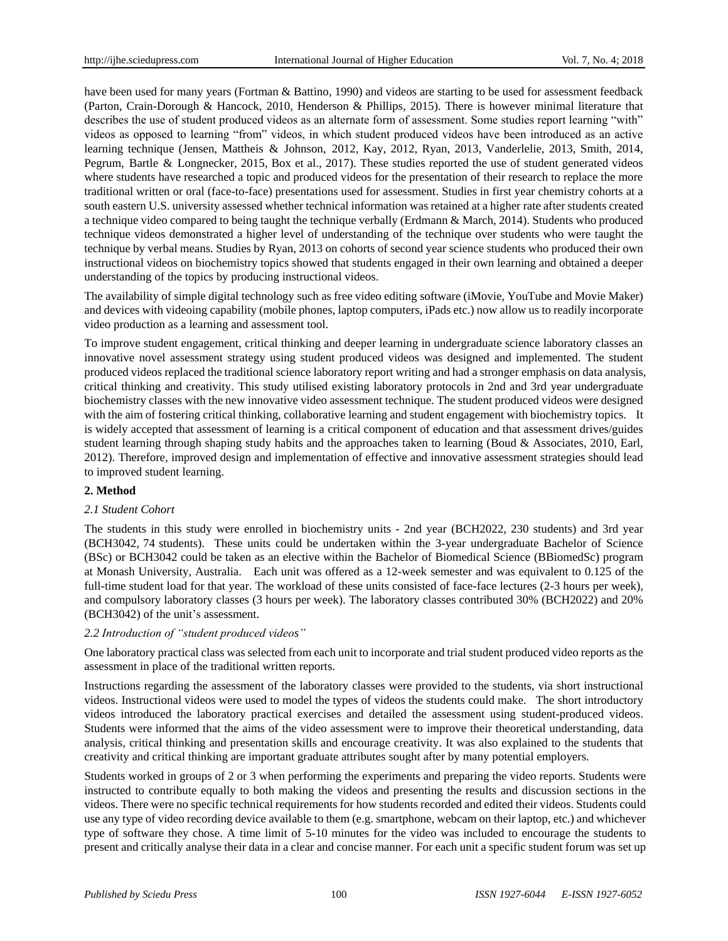have been used for many years (Fortman & Battino, 1990) and videos are starting to be used for assessment feedback (Parton, Crain-Dorough & Hancock, 2010, Henderson & Phillips, 2015). There is however minimal literature that describes the use of student produced videos as an alternate form of assessment. Some studies report learning "with" videos as opposed to learning "from" videos, in which student produced videos have been introduced as an active learning technique (Jensen, Mattheis & Johnson, 2012, Kay, 2012, Ryan, 2013, Vanderlelie, 2013, Smith, 2014, Pegrum, Bartle & Longnecker, 2015, Box et al., 2017). These studies reported the use of student generated videos where students have researched a topic and produced videos for the presentation of their research to replace the more traditional written or oral (face-to-face) presentations used for assessment. Studies in first year chemistry cohorts at a south eastern U.S. university assessed whether technical information was retained at a higher rate after students created a technique video compared to being taught the technique verbally (Erdmann & March, 2014). Students who produced technique videos demonstrated a higher level of understanding of the technique over students who were taught the technique by verbal means. Studies by Ryan, 2013 on cohorts of second year science students who produced their own instructional videos on biochemistry topics showed that students engaged in their own learning and obtained a deeper understanding of the topics by producing instructional videos.

The availability of simple digital technology such as free video editing software (iMovie, YouTube and Movie Maker) and devices with videoing capability (mobile phones, laptop computers, iPads etc.) now allow us to readily incorporate video production as a learning and assessment tool.

To improve student engagement, critical thinking and deeper learning in undergraduate science laboratory classes an innovative novel assessment strategy using student produced videos was designed and implemented. The student produced videos replaced the traditional science laboratory report writing and had a stronger emphasis on data analysis, critical thinking and creativity. This study utilised existing laboratory protocols in 2nd and 3rd year undergraduate biochemistry classes with the new innovative video assessment technique. The student produced videos were designed with the aim of fostering critical thinking, collaborative learning and student engagement with biochemistry topics. It is widely accepted that assessment of learning is a critical component of education and that assessment drives/guides student learning through shaping study habits and the approaches taken to learning (Boud & Associates, 2010, Earl, 2012). Therefore, improved design and implementation of effective and innovative assessment strategies should lead to improved student learning.

#### **2. Method**

#### *2.1 Student Cohort*

The students in this study were enrolled in biochemistry units - 2nd year (BCH2022, 230 students) and 3rd year (BCH3042, 74 students). These units could be undertaken within the 3-year undergraduate Bachelor of Science (BSc) or BCH3042 could be taken as an elective within the Bachelor of Biomedical Science (BBiomedSc) program at Monash University, Australia. Each unit was offered as a 12-week semester and was equivalent to 0.125 of the full-time student load for that year. The workload of these units consisted of face-face lectures (2-3 hours per week), and compulsory laboratory classes (3 hours per week). The laboratory classes contributed 30% (BCH2022) and 20% (BCH3042) of the unit's assessment.

#### *2.2 Introduction of "student produced videos"*

One laboratory practical class was selected from each unit to incorporate and trial student produced video reports as the assessment in place of the traditional written reports.

Instructions regarding the assessment of the laboratory classes were provided to the students, via short instructional videos. Instructional videos were used to model the types of videos the students could make. The short introductory videos introduced the laboratory practical exercises and detailed the assessment using student-produced videos. Students were informed that the aims of the video assessment were to improve their theoretical understanding, data analysis, critical thinking and presentation skills and encourage creativity. It was also explained to the students that creativity and critical thinking are important graduate attributes sought after by many potential employers.

Students worked in groups of 2 or 3 when performing the experiments and preparing the video reports. Students were instructed to contribute equally to both making the videos and presenting the results and discussion sections in the videos. There were no specific technical requirements for how students recorded and edited their videos. Students could use any type of video recording device available to them (e.g. smartphone, webcam on their laptop, etc.) and whichever type of software they chose. A time limit of 5-10 minutes for the video was included to encourage the students to present and critically analyse their data in a clear and concise manner. For each unit a specific student forum was set up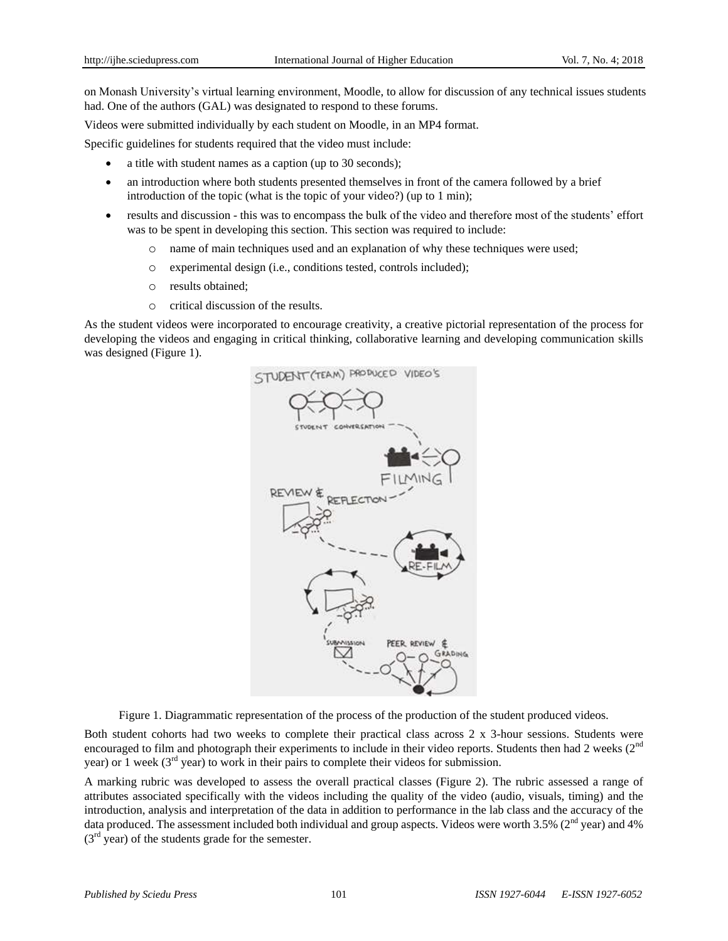on Monash University's virtual learning environment, Moodle, to allow for discussion of any technical issues students had. One of the authors (GAL) was designated to respond to these forums.

Videos were submitted individually by each student on Moodle, in an MP4 format.

Specific guidelines for students required that the video must include:

- a title with student names as a caption (up to 30 seconds);
- an introduction where both students presented themselves in front of the camera followed by a brief introduction of the topic (what is the topic of your video?) (up to 1 min);
- results and discussion this was to encompass the bulk of the video and therefore most of the students' effort was to be spent in developing this section. This section was required to include:
	- o name of main techniques used and an explanation of why these techniques were used;
	- o experimental design (i.e., conditions tested, controls included);
	- o results obtained;
	- o critical discussion of the results.

As the student videos were incorporated to encourage creativity, a creative pictorial representation of the process for developing the videos and engaging in critical thinking, collaborative learning and developing communication skills was designed (Figure 1).



Figure 1. Diagrammatic representation of the process of the production of the student produced videos.

Both student cohorts had two weeks to complete their practical class across 2 x 3-hour sessions. Students were encouraged to film and photograph their experiments to include in their video reports. Students then had 2 weeks  $(2<sup>nd</sup>$ year) or 1 week (3<sup>rd</sup> year) to work in their pairs to complete their videos for submission.

A marking rubric was developed to assess the overall practical classes (Figure 2). The rubric assessed a range of attributes associated specifically with the videos including the quality of the video (audio, visuals, timing) and the introduction, analysis and interpretation of the data in addition to performance in the lab class and the accuracy of the data produced. The assessment included both individual and group aspects. Videos were worth  $3.5\%$  (2<sup>nd</sup> year) and 4%  $(3<sup>rd</sup>$  year) of the students grade for the semester.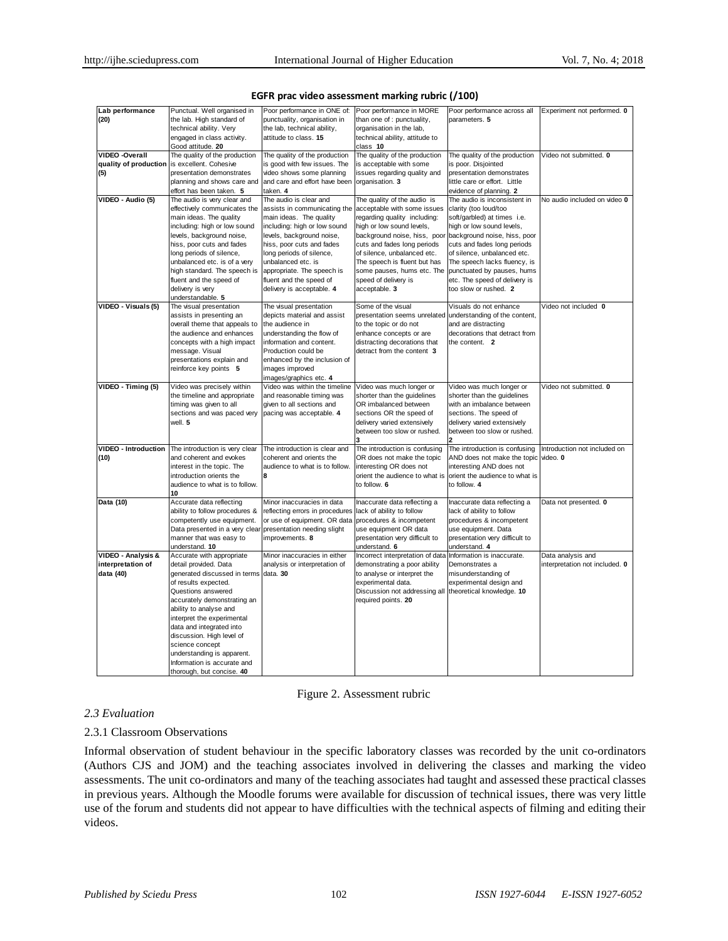| Lab performance             | Punctual. Well organised in    | Poor performance in ONE of:     | Poor performance in MORE                                   | Poor performance across all          | Experiment not performed. 0    |
|-----------------------------|--------------------------------|---------------------------------|------------------------------------------------------------|--------------------------------------|--------------------------------|
| (20)                        | the lab. High standard of      | punctuality, organisation in    | than one of : punctuality,                                 | parameters. 5                        |                                |
|                             | technical ability. Very        | the lab, technical ability,     | organisation in the lab,                                   |                                      |                                |
|                             | engaged in class activity.     | attitude to class. 15           | technical ability, attitude to                             |                                      |                                |
|                             | Good attitude. 20              |                                 | class 10                                                   |                                      |                                |
| <b>VIDEO -Overall</b>       | The quality of the production  | The quality of the production   | The quality of the production                              | The quality of the production        | Video not submitted. 0         |
| quality of production       | is excellent. Cohesive         | is good with few issues. The    | is acceptable with some                                    | is poor. Disjointed                  |                                |
| (5)                         | presentation demonstrates      | video shows some planning       | issues regarding quality and                               | presentation demonstrates            |                                |
|                             | planning and shows care and    | and care and effort have been   | organisation. 3                                            | little care or effort. Little        |                                |
|                             | effort has been taken. 5       | taken. 4                        |                                                            | evidence of planning. 2              |                                |
| VIDEO - Audio (5)           | The audio is very clear and    | The audio is clear and          | The quality of the audio is                                | The audio is inconsistent in         | No audio included on video 0   |
|                             | effectively communicates the   | assists in communicating the    | acceptable with some issues                                | clarity (too loud/too                |                                |
|                             | main ideas. The quality        | main ideas. The quality         | regarding quality including:                               | soft/garbled) at times i.e.          |                                |
|                             | including: high or low sound   | including: high or low sound    | high or low sound levels,                                  | high or low sound levels,            |                                |
|                             | levels, background noise,      | levels, background noise,       | background noise, hiss, poor                               | background noise, hiss, poor         |                                |
|                             | hiss, poor cuts and fades      | hiss, poor cuts and fades       | cuts and fades long periods                                | cuts and fades long periods          |                                |
|                             | long periods of silence,       | long periods of silence,        | of silence, unbalanced etc.                                | of silence, unbalanced etc.          |                                |
|                             | unbalanced etc. is of a very   | unbalanced etc. is              | The speech is fluent but has                               | The speech lacks fluency, is         |                                |
|                             | high standard. The speech is   | appropriate. The speech is      | some pauses, hums etc. The                                 | punctuated by pauses, hums           |                                |
|                             | fluent and the speed of        | fluent and the speed of         | speed of delivery is                                       | etc. The speed of delivery is        |                                |
|                             | delivery is very               | delivery is acceptable. 4       | acceptable. 3                                              | too slow or rushed. 2                |                                |
|                             | understandable. 5              |                                 |                                                            |                                      |                                |
| VIDEO - Visuals (5)         | The visual presentation        | The visual presentation         | Some of the visual                                         | Visuals do not enhance               | Video not included 0           |
|                             | assists in presenting an       | depicts material and assist     | presentation seems unrelated understanding of the content, |                                      |                                |
|                             | overall theme that appeals to  | the audience in                 | to the topic or do not                                     | and are distracting                  |                                |
|                             | the audience and enhances      | understanding the flow of       | enhance concepts or are                                    | decorations that detract from        |                                |
|                             | concepts with a high impact    | information and content.        | distracting decorations that                               | the content. 2                       |                                |
|                             | message. Visual                | Production could be             | detract from the content 3                                 |                                      |                                |
|                             | presentations explain and      | enhanced by the inclusion of    |                                                            |                                      |                                |
|                             | reinforce key points 5         | images improved                 |                                                            |                                      |                                |
|                             |                                | images/graphics etc. 4          |                                                            |                                      |                                |
| VIDEO - Timing (5)          | Video was precisely within     | Video was within the timeline   | Video was much longer or                                   | Video was much longer or             | Video not submitted. 0         |
|                             | the timeline and appropriate   | and reasonable timing was       | shorter than the guidelines                                | shorter than the guidelines          |                                |
|                             | timing was given to all        | given to all sections and       | OR imbalanced between                                      | with an imbalance between            |                                |
|                             | sections and was paced very    | pacing was acceptable. 4        | sections OR the speed of                                   | sections. The speed of               |                                |
|                             | well. 5                        |                                 | delivery varied extensively                                | delivery varied extensively          |                                |
|                             |                                |                                 | between too slow or rushed.                                | between too slow or rushed.          |                                |
| <b>VIDEO - Introduction</b> | The introduction is very clear | The introduction is clear and   | The introduction is confusing                              | The introduction is confusing        | Introduction not included on   |
| (10)                        | and coherent and evokes        | coherent and orients the        | OR does not make the topic                                 | AND does not make the topic video. 0 |                                |
|                             | interest in the topic. The     | audience to what is to follow.  | interesting OR does not                                    | interesting AND does not             |                                |
|                             | introduction orients the       | 8                               | orient the audience to what is                             | orient the audience to what is       |                                |
|                             | audience to what is to follow. |                                 | to follow. 6                                               | to follow. 4                         |                                |
|                             | 10                             |                                 |                                                            |                                      |                                |
| Data (10)                   | Accurate data reflecting       | Minor inaccuracies in data      | Inaccurate data reflecting a                               | Inaccurate data reflecting a         | Data not presented. 0          |
|                             | ability to follow procedures & | reflecting errors in procedures | lack of ability to follow                                  | lack of ability to follow            |                                |
|                             | competently use equipment.     | or use of equipment. OR data    | procedures & incompetent                                   | procedures & incompetent             |                                |
|                             | Data presented in a very clear | presentation needing slight     | use equipment OR data                                      | use equipment. Data                  |                                |
|                             | manner that was easy to        | improvements. 8                 | presentation very difficult to                             | presentation very difficult to       |                                |
|                             | understand. 10                 |                                 | understand. 6                                              | understand. 4                        |                                |
| VIDEO - Analysis &          | Accurate with appropriate      | Minor inaccuracies in either    | Incorrect interpretation of data                           | Information is inaccurate.           | Data analysis and              |
| interpretation of           | detail provided. Data          | analysis or interpretation of   | demonstrating a poor ability                               | Demonstrates a                       | interpretation not included. 0 |
| data (40)                   | generated discussed in terms   | data. 30                        | to analyse or interpret the                                | misunderstanding of                  |                                |
|                             | of results expected.           |                                 | experimental data.                                         | experimental design and              |                                |
|                             | Questions answered             |                                 | Discussion not addressing all                              | theoretical knowledge. 10            |                                |
|                             | accurately demonstrating an    |                                 | required points. 20                                        |                                      |                                |
|                             | ability to analyse and         |                                 |                                                            |                                      |                                |
|                             | interpret the experimental     |                                 |                                                            |                                      |                                |
|                             | data and integrated into       |                                 |                                                            |                                      |                                |
|                             | discussion. High level of      |                                 |                                                            |                                      |                                |
|                             | science concept                |                                 |                                                            |                                      |                                |
|                             | understanding is apparent.     |                                 |                                                            |                                      |                                |
|                             | Information is accurate and    |                                 |                                                            |                                      |                                |
|                             | thorough, but concise. 40      |                                 |                                                            |                                      |                                |

#### **EGFR prac video assessment marking rubric (/100)**

Figure 2. Assessment rubric

#### *2.3 Evaluation*

## 2.3.1 Classroom Observations

Informal observation of student behaviour in the specific laboratory classes was recorded by the unit co-ordinators (Authors CJS and JOM) and the teaching associates involved in delivering the classes and marking the video assessments. The unit co-ordinators and many of the teaching associates had taught and assessed these practical classes in previous years. Although the Moodle forums were available for discussion of technical issues, there was very little use of the forum and students did not appear to have difficulties with the technical aspects of filming and editing their videos.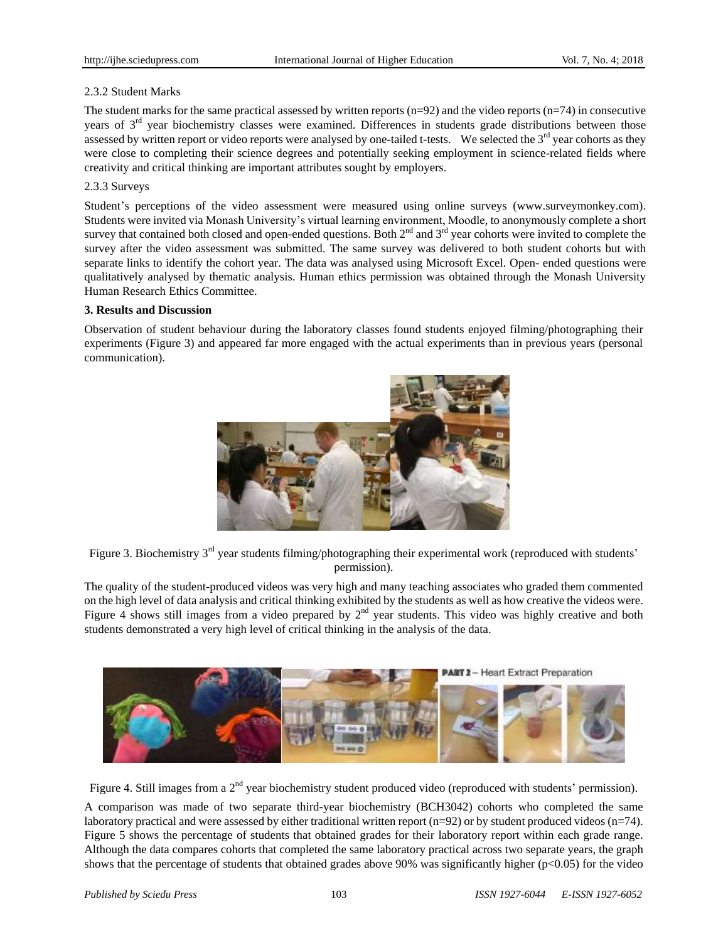## 2.3.2 Student Marks

The student marks for the same practical assessed by written reports  $(n=92)$  and the video reports  $(n=74)$  in consecutive years of  $3<sup>rd</sup>$  year biochemistry classes were examined. Differences in students grade distributions between those assessed by written report or video reports were analysed by one-tailed t-tests. We selected the  $3<sup>rd</sup>$  year cohorts as they were close to completing their science degrees and potentially seeking employment in science-related fields where creativity and critical thinking are important attributes sought by employers.

## 2.3.3 Surveys

Student's perceptions of the video assessment were measured using online surveys (www.surveymonkey.com). Students were invited via Monash University's virtual learning environment, Moodle, to anonymously complete a short survey that contained both closed and open-ended questions. Both  $2<sup>nd</sup>$  and  $3<sup>rd</sup>$  year cohorts were invited to complete the survey after the video assessment was submitted. The same survey was delivered to both student cohorts but with separate links to identify the cohort year. The data was analysed using Microsoft Excel. Open- ended questions were qualitatively analysed by thematic analysis. Human ethics permission was obtained through the Monash University Human Research Ethics Committee.

## **3. Results and Discussion**

Observation of student behaviour during the laboratory classes found students enjoyed filming/photographing their experiments (Figure 3) and appeared far more engaged with the actual experiments than in previous years (personal communication).



Figure 3. Biochemistry 3<sup>rd</sup> year students filming/photographing their experimental work (reproduced with students' permission).

The quality of the student-produced videos was very high and many teaching associates who graded them commented on the high level of data analysis and critical thinking exhibited by the students as well as how creative the videos were. Figure 4 shows still images from a video prepared by  $2<sup>nd</sup>$  year students. This video was highly creative and both students demonstrated a very high level of critical thinking in the analysis of the data.



Figure 4. Still images from a 2<sup>nd</sup> year biochemistry student produced video (reproduced with students' permission).

A comparison was made of two separate third-year biochemistry (BCH3042) cohorts who completed the same laboratory practical and were assessed by either traditional written report (n=92) or by student produced videos (n=74). Figure 5 shows the percentage of students that obtained grades for their laboratory report within each grade range. Although the data compares cohorts that completed the same laboratory practical across two separate years, the graph shows that the percentage of students that obtained grades above 90% was significantly higher (p<0.05) for the video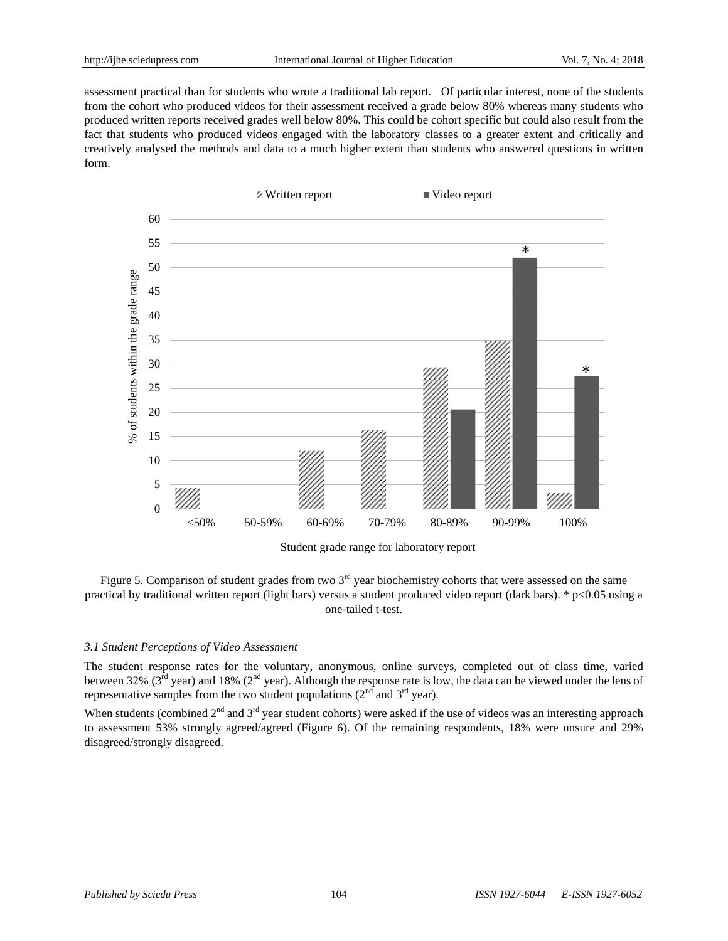assessment practical than for students who wrote a traditional lab report. Of particular interest, none of the students from the cohort who produced videos for their assessment received a grade below 80% whereas many students who produced written reports received grades well below 80%. This could be cohort specific but could also result from the fact that students who produced videos engaged with the laboratory classes to a greater extent and critically and creatively analysed the methods and data to a much higher extent than students who answered questions in written form.



Student grade range for laboratory report



#### *3.1 Student Perceptions of Video Assessment*

The student response rates for the voluntary, anonymous, online surveys, completed out of class time, varied between 32% ( $3<sup>rd</sup>$  year) and 18% ( $2<sup>nd</sup>$  year). Although the response rate is low, the data can be viewed under the lens of representative samples from the two student populations  $(2<sup>nd</sup>$  and  $3<sup>rd</sup>$  year).

When students (combined  $2^{nd}$  and  $3^{rd}$  year student cohorts) were asked if the use of videos was an interesting approach to assessment 53% strongly agreed/agreed (Figure 6). Of the remaining respondents, 18% were unsure and 29% disagreed/strongly disagreed.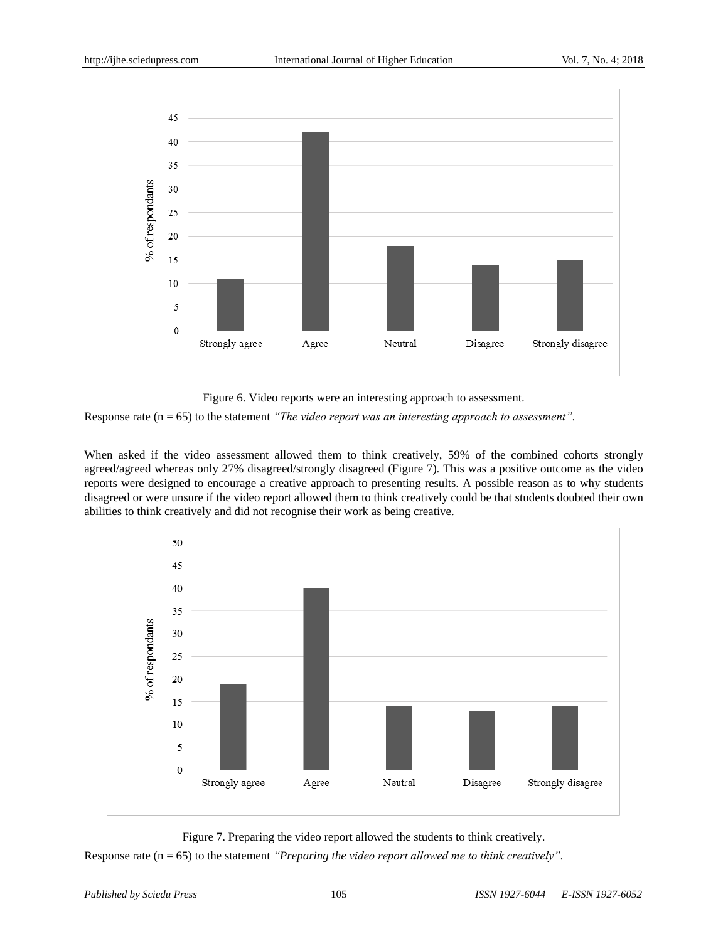

Figure 6. Video reports were an interesting approach to assessment.

Response rate (n = 65) to the statement *"The video report was an interesting approach to assessment".*

When asked if the video assessment allowed them to think creatively, 59% of the combined cohorts strongly agreed/agreed whereas only 27% disagreed/strongly disagreed (Figure 7). This was a positive outcome as the video reports were designed to encourage a creative approach to presenting results. A possible reason as to why students disagreed or were unsure if the video report allowed them to think creatively could be that students doubted their own abilities to think creatively and did not recognise their work as being creative.



Figure 7. Preparing the video report allowed the students to think creatively. Response rate (n = 65) to the statement *"Preparing the video report allowed me to think creatively".*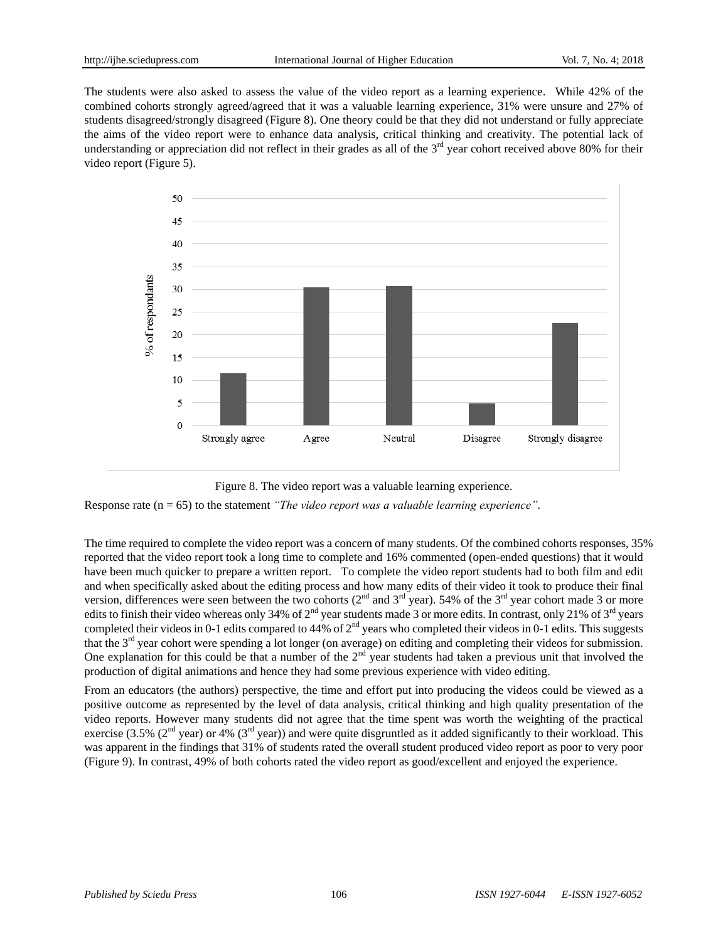The students were also asked to assess the value of the video report as a learning experience. While 42% of the combined cohorts strongly agreed/agreed that it was a valuable learning experience, 31% were unsure and 27% of students disagreed/strongly disagreed (Figure 8). One theory could be that they did not understand or fully appreciate the aims of the video report were to enhance data analysis, critical thinking and creativity. The potential lack of understanding or appreciation did not reflect in their grades as all of the  $3<sup>rd</sup>$  year cohort received above 80% for their video report (Figure 5).



Figure 8. The video report was a valuable learning experience.

Response rate (n = 65) to the statement *"The video report was a valuable learning experience".*

The time required to complete the video report was a concern of many students. Of the combined cohorts responses, 35% reported that the video report took a long time to complete and 16% commented (open-ended questions) that it would have been much quicker to prepare a written report. To complete the video report students had to both film and edit and when specifically asked about the editing process and how many edits of their video it took to produce their final version, differences were seen between the two cohorts ( $2<sup>nd</sup>$  and  $3<sup>rd</sup>$  year). 54% of the  $3<sup>rd</sup>$  year cohort made 3 or more edits to finish their video whereas only 34% of  $2^{nd}$  year students made 3 or more edits. In contrast, only 21% of  $3^{rd}$  years completed their videos in 0-1 edits compared to 44% of  $2<sup>nd</sup>$  years who completed their videos in 0-1 edits. This suggests that the  $3<sup>rd</sup>$  year cohort were spending a lot longer (on average) on editing and completing their videos for submission. One explanation for this could be that a number of the  $2<sup>nd</sup>$  year students had taken a previous unit that involved the production of digital animations and hence they had some previous experience with video editing.

From an educators (the authors) perspective, the time and effort put into producing the videos could be viewed as a positive outcome as represented by the level of data analysis, critical thinking and high quality presentation of the video reports. However many students did not agree that the time spent was worth the weighting of the practical exercise (3.5% (2<sup>nd</sup> year) or 4% (3<sup>rd</sup> year)) and were quite disgruntled as it added significantly to their workload. This was apparent in the findings that 31% of students rated the overall student produced video report as poor to very poor (Figure 9). In contrast, 49% of both cohorts rated the video report as good/excellent and enjoyed the experience.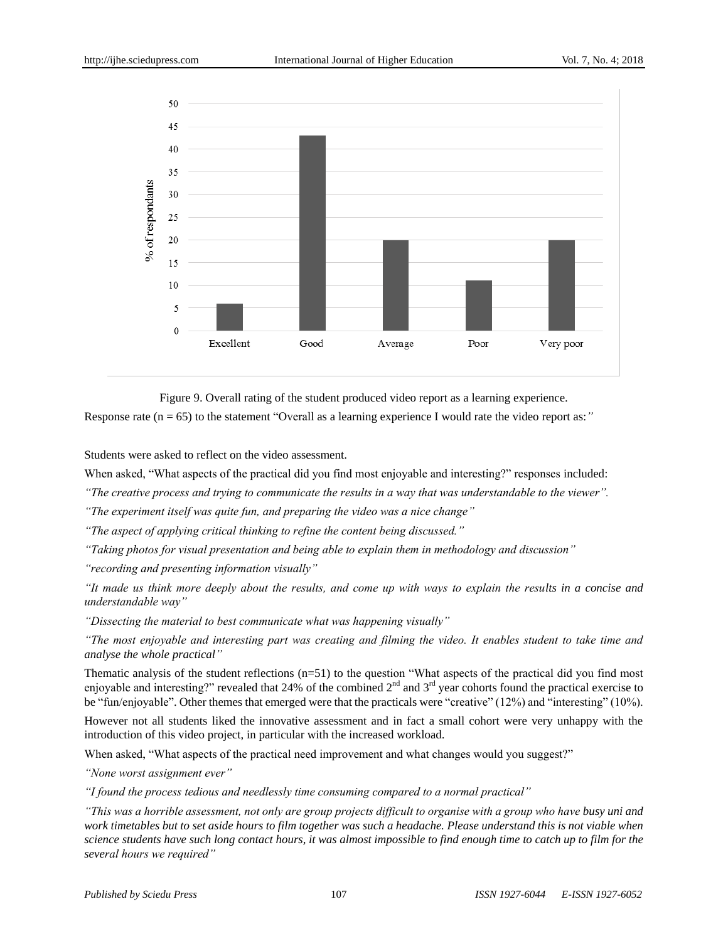

Figure 9. Overall rating of the student produced video report as a learning experience. Response rate (n = 65) to the statement "Overall as a learning experience I would rate the video report as:*"*

Students were asked to reflect on the video assessment.

When asked, "What aspects of the practical did you find most enjoyable and interesting?" responses included:

*"The creative process and trying to communicate the results in a way that was understandable to the viewer".* 

*"The experiment itself was quite fun, and preparing the video was a nice change"*

*"The aspect of applying critical thinking to refine the content being discussed."*

*"Taking photos for visual presentation and being able to explain them in methodology and discussion"*

*"recording and presenting information visually"*

*"It made us think more deeply about the results, and come up with ways to explain the results in a concise and understandable way"*

*"Dissecting the material to best communicate what was happening visually"* 

*"The most enjoyable and interesting part was creating and filming the video. It enables student to take time and analyse the whole practical"*

Thematic analysis of the student reflections (n=51) to the question "What aspects of the practical did you find most enjoyable and interesting?" revealed that 24% of the combined  $2<sup>nd</sup>$  and  $3<sup>rd</sup>$  year cohorts found the practical exercise to be "fun/enjoyable". Other themes that emerged were that the practicals were "creative" (12%) and "interesting" (10%).

However not all students liked the innovative assessment and in fact a small cohort were very unhappy with the introduction of this video project, in particular with the increased workload.

When asked, "What aspects of the practical need improvement and what changes would you suggest?"

*"None worst assignment ever"*

*"I found the process tedious and needlessly time consuming compared to a normal practical"*

*"This was a horrible assessment, not only are group projects difficult to organise with a group who have busy uni and work timetables but to set aside hours to film together was such a headache. Please understand this is not viable when science students have such long contact hours, it was almost impossible to find enough time to catch up to film for the several hours we required"*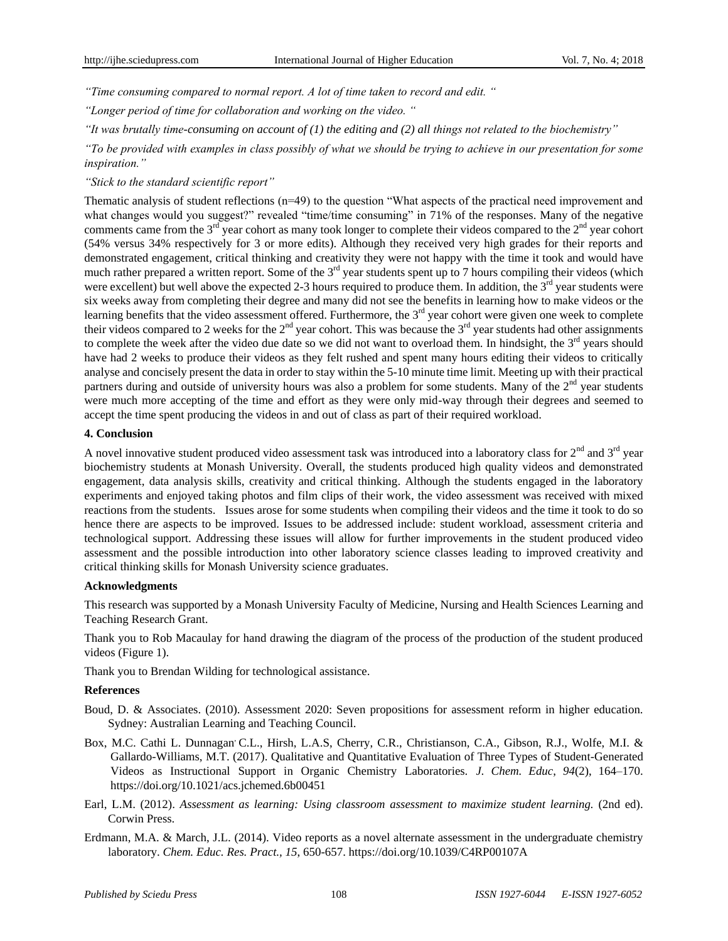*"Time consuming compared to normal report. A lot of time taken to record and edit. "*

*"Longer period of time for collaboration and working on the video. "*

*"It was brutally time-consuming on account of (1) the editing and (2) all things not related to the biochemistry"*

*"To be provided with examples in class possibly of what we should be trying to achieve in our presentation for some inspiration."*

*"Stick to the standard scientific report"*

Thematic analysis of student reflections (n=49) to the question "What aspects of the practical need improvement and what changes would you suggest?" revealed "time/time consuming" in 71% of the responses. Many of the negative comments came from the  $3<sup>rd</sup>$  year cohort as many took longer to complete their videos compared to the  $2<sup>nd</sup>$  year cohort (54% versus 34% respectively for 3 or more edits). Although they received very high grades for their reports and demonstrated engagement, critical thinking and creativity they were not happy with the time it took and would have much rather prepared a written report. Some of the  $3<sup>rd</sup>$  year students spent up to 7 hours compiling their videos (which were excellent) but well above the expected 2-3 hours required to produce them. In addition, the  $3<sup>rd</sup>$  year students were six weeks away from completing their degree and many did not see the benefits in learning how to make videos or the learning benefits that the video assessment offered. Furthermore, the  $3<sup>rd</sup>$  year cohort were given one week to complete their videos compared to 2 weeks for the  $2<sup>nd</sup>$  year cohort. This was because the  $3<sup>rd</sup>$  year students had other assignments to complete the week after the video due date so we did not want to overload them. In hindsight, the 3<sup>rd</sup> years should have had 2 weeks to produce their videos as they felt rushed and spent many hours editing their videos to critically analyse and concisely present the data in order to stay within the 5-10 minute time limit. Meeting up with their practical partners during and outside of university hours was also a problem for some students. Many of the  $2<sup>nd</sup>$  year students were much more accepting of the time and effort as they were only mid-way through their degrees and seemed to accept the time spent producing the videos in and out of class as part of their required workload.

## **4. Conclusion**

A novel innovative student produced video assessment task was introduced into a laboratory class for  $2<sup>nd</sup>$  and  $3<sup>rd</sup>$  year biochemistry students at Monash University. Overall, the students produced high quality videos and demonstrated engagement, data analysis skills, creativity and critical thinking. Although the students engaged in the laboratory experiments and enjoyed taking photos and film clips of their work, the video assessment was received with mixed reactions from the students. Issues arose for some students when compiling their videos and the time it took to do so hence there are aspects to be improved. Issues to be addressed include: student workload, assessment criteria and technological support. Addressing these issues will allow for further improvements in the student produced video assessment and the possible introduction into other laboratory science classes leading to improved creativity and critical thinking skills for Monash University science graduates.

#### **Acknowledgments**

This research was supported by a Monash University Faculty of Medicine, Nursing and Health Sciences Learning and Teaching Research Grant.

Thank you to Rob Macaulay for hand drawing the diagram of the process of the production of the student produced videos (Figure 1).

Thank you to Brendan Wilding for technological assistance.

#### **References**

- Boud, D. & Associates. (2010). Assessment 2020: Seven propositions for assessment reform in higher education. Sydney: Australian Learning and Teaching Council.
- [Box,](https://pubs.acs.org/author/Box%2C+Melinda+C) M.C. [Cathi L. Dunnagan](https://pubs.acs.org/author/Dunnagan%2C+Cathi+L), C.L., [Hirsh,](https://pubs.acs.org/author/Hirsh%2C+Lauren+A+S) L.A.S, [Cherry,](https://pubs.acs.org/author/Cherry%2C+Clinton+R) C.R., [Christianson,](https://pubs.acs.org/author/Christianson%2C+Kayla+A) C.A., [Gibson,](https://pubs.acs.org/author/Gibson%2C+Radiance+J) R.J., [Wolfe,](https://pubs.acs.org/author/Wolfe%2C+Michael+I) M.I. & [Gallardo-Williams,](https://pubs.acs.org/author/Gallardo-Williams%2C+Maria+T) M.T. (2017). Qualitative and Quantitative Evaluation of Three Types of Student-Generated Videos as Instructional Support in Organic Chemistry Laboratories. *J. Chem. Educ*, *94*(2), 164–170. <https://doi.org/10.1021/acs.jchemed.6b00451>
- Earl, L.M. (2012). *Assessment as learning: Using classroom assessment to maximize student learning.* (2nd ed). Corwin Press.
- Erdmann, M.A. & March, J.L. (2014). Video reports as a novel alternate assessment in the undergraduate chemistry laboratory. *Chem. Educ. Res. Pract., 15*, 650-657.<https://doi.org/10.1039/C4RP00107A>